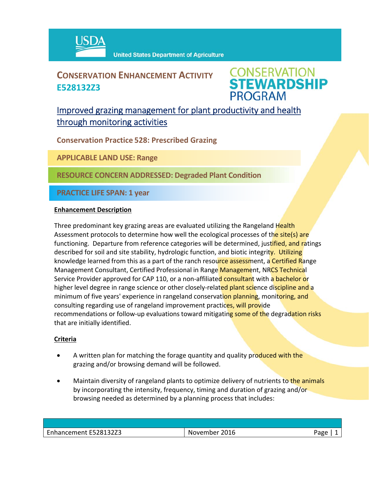

## **CONSERVATION ENHANCEMENT ACTIVITY E528132Z3**

**CONSERVATION<br>STEWARDSHIP PROGRAM** 

## Improved grazing management for plant productivity and health through monitoring activities

**Conservation Practice 528: Prescribed Grazing**

**APPLICABLE LAND USE: Range**

**RESOURCE CONCERN ADDRESSED: Degraded Plant Condition**

**PRACTICE LIFE SPAN: 1 year**

#### **Enhancement Description**

Three predominant key grazing areas are evaluated utilizing the Rangeland Health Assessment protocols to determine how well the ecological processes of the site(s) are functioning. Departure from reference categories will be determined, justified, and ratings described for soil and site stability, hydrologic function, and biotic integrity. Utilizing knowledge learned from this as a part of the ranch resource assessment, a Certified Range Management Consultant, Certified Professional in Range Management, NRCS Technical Service Provider approved for CAP 110, or a non-affiliated consultant with a bachelor or higher level degree in range science or other closely-related plant science discipline and a minimum of five years' experience in rangeland conservation planning, monitoring, and consulting regarding use of rangeland improvement practices, will provide recommendations or follow-up evaluations toward mitigating some of the degradation risks that are initially identified.

### **Criteria**

- A written plan for matching the forage quantity and quality produced with the grazing and/or browsing demand will be followed.
- Maintain diversity of rangeland plants to optimize delivery of nutrients to the animals by incorporating the intensity, frequency, timing and duration of grazing and/or browsing needed as determined by a planning process that includes:

| Enhancement E528132Z3 | November 2016 | Page |
|-----------------------|---------------|------|
|                       |               |      |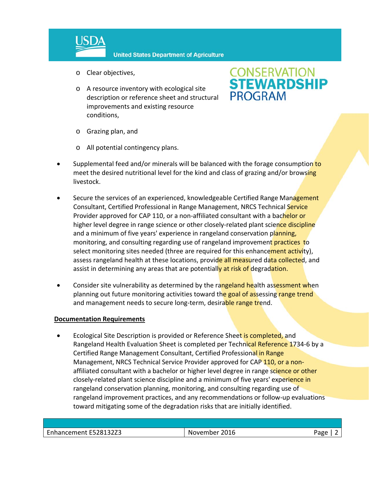

- o Clear objectives,
- o A resource inventory with ecological site description or reference sheet and structural improvements and existing resource conditions,

# **CONSERVATION<br>STEWARDSHIP PROGRAM**

- o Grazing plan, and
- o All potential contingency plans.
- Supplemental feed and/or minerals will be balanced with the forage consumption to meet the desired nutritional level for the kind and class of grazing and/or browsing livestock.
- Secure the services of an experienced, knowledgeable Certified Range Management Consultant, Certified Professional in Range Management, NRCS Technical Service Provider approved for CAP 110, or a non-affiliated consultant with a bachelor or higher level degree in range science or other closely-related plant science discipline and a minimum of five years' experience in rangeland conservation planning, monitoring, and consulting regarding use of rangeland improvement practices to select monitoring sites needed (three are required for this enhancement activity), assess rangeland health at these locations, provide all measured data collected, and assist in determining any areas that are potentially at risk of degradation.
- Consider site vulnerability as determined by the rangeland health assessment when planning out future monitoring activities toward the goal of assessing range trend and management needs to secure long-term, desirable range trend.

#### **Documentation Requirements**

Ecological Site Description is provided or Reference Sheet is completed, and Rangeland Health Evaluation Sheet is completed per Technical Reference 1734-6 by a Certified Range Management Consultant, Certified Professional in Range Management, NRCS Technical Service Provider approved for CAP 110, or a nonaffiliated consultant with a bachelor or higher level degree in range science or other closely-related plant science discipline and a minimum of five years' experience in rangeland conservation planning, monitoring, and consulting regarding use of rangeland improvement practices, and any recommendations or follow‐up evaluations toward mitigating some of the degradation risks that are initially identified.

| hancement E528132Z3 | 2016<br>.<br>ıм<br>ovember | וסבי |
|---------------------|----------------------------|------|
|                     |                            |      |